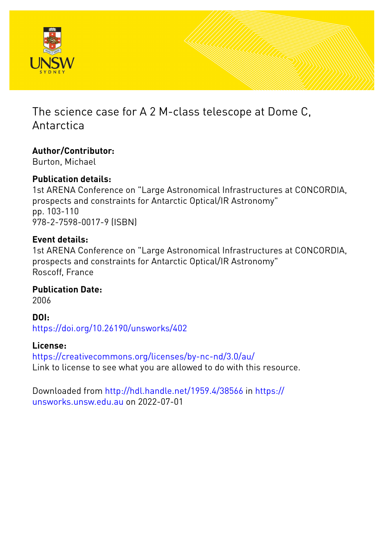

# The science case for A 2 M-class telescope at Dome C, Antarctica

# **Author/Contributor:**

Burton, Michael

# **Publication details:**

1st ARENA Conference on "Large Astronomical Infrastructures at CONCORDIA, prospects and constraints for Antarctic Optical/IR Astronomy" pp. 103-110 978-2-7598-0017-9 (ISBN)

# **Event details:**

1st ARENA Conference on "Large Astronomical Infrastructures at CONCORDIA, prospects and constraints for Antarctic Optical/IR Astronomy" Roscoff, France

**Publication Date:** 2006

**DOI:**

[https://doi.org/10.26190/unsworks/402](http://dx.doi.org/https://doi.org/10.26190/unsworks/402)

# **License:**

<https://creativecommons.org/licenses/by-nc-nd/3.0/au/> Link to license to see what you are allowed to do with this resource.

Downloaded from <http://hdl.handle.net/1959.4/38566> in [https://](https://unsworks.unsw.edu.au) [unsworks.unsw.edu.au](https://unsworks.unsw.edu.au) on 2022-07-01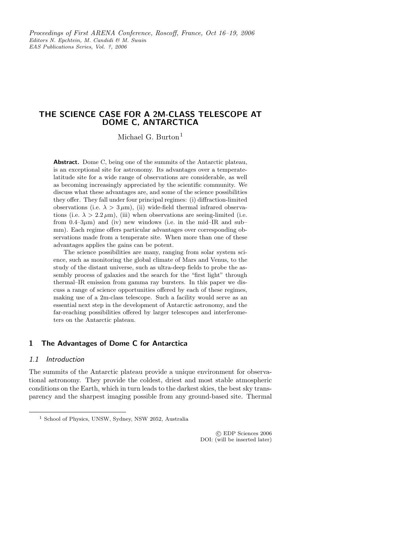# THE SCIENCE CASE FOR A 2M-CLASS TELESCOPE AT DOME C, ANTARCTICA

Michael G. Burton<sup>1</sup>

Abstract. Dome C, being one of the summits of the Antarctic plateau, is an exceptional site for astronomy. Its advantages over a temperatelatitude site for a wide range of observations are considerable, as well as becoming increasingly appreciated by the scientific community. We discuss what these advantages are, and some of the science possibilities they offer. They fall under four principal regimes: (i) diffraction-limited observations (i.e.  $\lambda > 3 \mu m$ ), (ii) wide-field thermal infrared observations (i.e.  $\lambda > 2.2 \,\mu$ m), (iii) when observations are seeing-limited (i.e. from 0.4–3 $\mu$ m) and (iv) new windows (i.e. in the mid–IR and sub– mm). Each regime offers particular advantages over corresponding observations made from a temperate site. When more than one of these advantages applies the gains can be potent.

The science possibilities are many, ranging from solar system science, such as monitoring the global climate of Mars and Venus, to the study of the distant universe, such as ultra-deep fields to probe the assembly process of galaxies and the search for the "first light" through thermal–IR emission from gamma ray bursters. In this paper we discuss a range of science opportunities offered by each of these regimes, making use of a 2m-class telescope. Such a facility would serve as an essential next step in the development of Antarctic astronomy, and the far-reaching possibilities offered by larger telescopes and interferometers on the Antarctic plateau.

## 1 The Advantages of Dome C for Antarctica

# 1.1 Introduction

The summits of the Antarctic plateau provide a unique environment for observational astronomy. They provide the coldest, driest and most stable atmospheric conditions on the Earth, which in turn leads to the darkest skies, the best sky transparency and the sharpest imaging possible from any ground-based site. Thermal

 c EDP Sciences 2006 DOI: (will be inserted later)

<sup>1</sup> School of Physics, UNSW, Sydney, NSW 2052, Australia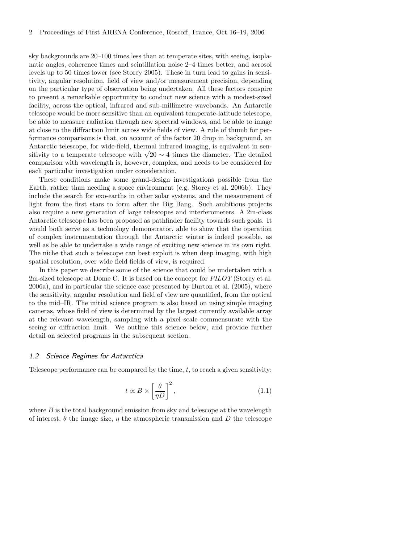sky backgrounds are 20–100 times less than at temperate sites, with seeing, isoplanatic angles, coherence times and scintillation noise 2–4 times better, and aerosol levels up to 50 times lower (see Storey 2005). These in turn lead to gains in sensitivity, angular resolution, field of view and/or measurement precision, depending on the particular type of observation being undertaken. All these factors conspire to present a remarkable opportunity to conduct new science with a modest-sized facility, across the optical, infrared and sub-millimetre wavebands. An Antarctic telescope would be more sensitive than an equivalent temperate-latitude telescope, be able to measure radiation through new spectral windows, and be able to image at close to the diffraction limit across wide fields of view. A rule of thumb for performance comparisons is that, on account of the factor 20 drop in background, an Antarctic telescope, for wide-field, thermal infrared imaging, is equivalent in sensitivity to a temperate telescope with  $\sqrt{20} \sim 4$  times the diameter. The detailed comparison with wavelength is, however, complex, and needs to be considered for each particular investigation under consideration.

These conditions make some grand-design investigations possible from the Earth, rather than needing a space environment (e.g. Storey et al. 2006b). They include the search for exo-earths in other solar systems, and the measurement of light from the first stars to form after the Big Bang. Such ambitious projects also require a new generation of large telescopes and interferometers. A 2m-class Antarctic telescope has been proposed as pathfinder facility towards such goals. It would both serve as a technology demonstrator, able to show that the operation of complex instrumentation through the Antarctic winter is indeed possible, as well as be able to undertake a wide range of exciting new science in its own right. The niche that such a telescope can best exploit is when deep imaging, with high spatial resolution, over wide field fields of view, is required.

In this paper we describe some of the science that could be undertaken with a 2m-sized telescope at Dome C. It is based on the concept for PILOT (Storey et al. 2006a), and in particular the science case presented by Burton et al. (2005), where the sensitivity, angular resolution and field of view are quantified, from the optical to the mid–IR. The initial science program is also based on using simple imaging cameras, whose field of view is determined by the largest currently available array at the relevant wavelength, sampling with a pixel scale commensurate with the seeing or diffraction limit. We outline this science below, and provide further detail on selected programs in the subsequent section.

#### 1.2 Science Regimes for Antarctica

Telescope performance can be compared by the time, t, to reach a given sensitivity:

$$
t \propto B \times \left[\frac{\theta}{\eta D}\right]^2,\tag{1.1}
$$

where  $B$  is the total background emission from sky and telescope at the wavelength of interest,  $\theta$  the image size,  $\eta$  the atmospheric transmission and D the telescope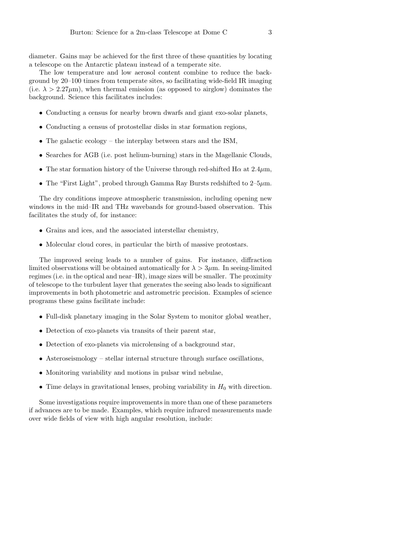diameter. Gains may be achieved for the first three of these quantities by locating a telescope on the Antarctic plateau instead of a temperate site.

The low temperature and low aerosol content combine to reduce the background by 20–100 times from temperate sites, so facilitating wide-field IR imaging (i.e.  $\lambda > 2.27 \mu m$ ), when thermal emission (as opposed to airglow) dominates the background. Science this facilitates includes:

- Conducting a census for nearby brown dwarfs and giant exo-solar planets,
- Conducting a census of protostellar disks in star formation regions,
- The galactic ecology the interplay between stars and the ISM,
- Searches for AGB (i.e. post helium-burning) stars in the Magellanic Clouds,
- The star formation history of the Universe through red-shifted H $\alpha$  at 2.4 $\mu$ m,
- The "First Light", probed through Gamma Ray Bursts redshifted to  $2-5\mu$ m.

The dry conditions improve atmospheric transmission, including opening new windows in the mid–IR and THz wavebands for ground-based observation. This facilitates the study of, for instance:

- Grains and ices, and the associated interstellar chemistry,
- Molecular cloud cores, in particular the birth of massive protostars.

The improved seeing leads to a number of gains. For instance, diffraction limited observations will be obtained automatically for  $\lambda > 3\mu$ m. In seeing-limited regimes (i.e. in the optical and near–IR), image sizes will be smaller. The proximity of telescope to the turbulent layer that generates the seeing also leads to significant improvements in both photometric and astrometric precision. Examples of science programs these gains facilitate include:

- Full-disk planetary imaging in the Solar System to monitor global weather,
- Detection of exo-planets via transits of their parent star,
- Detection of exo-planets via microlensing of a background star,
- Asteroseismology stellar internal structure through surface oscillations,
- Monitoring variability and motions in pulsar wind nebulae,
- Time delays in gravitational lenses, probing variability in  $H_0$  with direction.

Some investigations require improvements in more than one of these parameters if advances are to be made. Examples, which require infrared measurements made over wide fields of view with high angular resolution, include: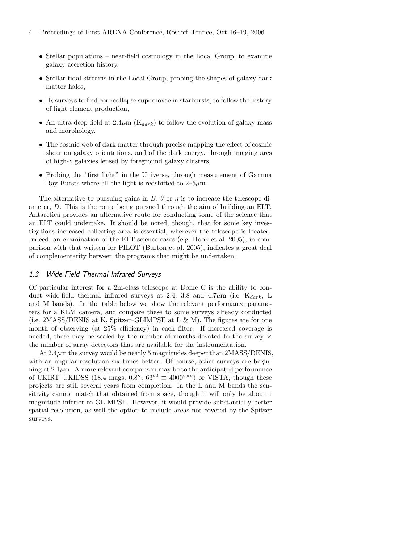- Stellar populations near-field cosmology in the Local Group, to examine galaxy accretion history,
- Stellar tidal streams in the Local Group, probing the shapes of galaxy dark matter halos,
- IR surveys to find core collapse supernovae in starbursts, to follow the history of light element production,
- An ultra deep field at  $2.4\mu$ m ( $K_{dark}$ ) to follow the evolution of galaxy mass and morphology,
- The cosmic web of dark matter through precise mapping the effect of cosmic shear on galaxy orientations, and of the dark energy, through imaging arcs of high-z galaxies lensed by foreground galaxy clusters,
- Probing the "first light" in the Universe, through measurement of Gamma Ray Bursts where all the light is redshifted to  $2-5\mu$ m.

The alternative to pursuing gains in B,  $\theta$  or  $\eta$  is to increase the telescope diameter, D. This is the route being pursued through the aim of building an ELT. Antarctica provides an alternative route for conducting some of the science that an ELT could undertake. It should be noted, though, that for some key investigations increased collecting area is essential, wherever the telescope is located. Indeed, an examination of the ELT science cases (e.g. Hook et al. 2005), in comparison with that written for PILOT (Burton et al. 2005), indicates a great deal of complementarity between the programs that might be undertaken.

#### 1.3 Wide Field Thermal Infrared Surveys

Of particular interest for a 2m-class telescope at Dome C is the ability to conduct wide-field thermal infrared surveys at 2.4, 3.8 and 4.7 $\mu$ m (i.e.  $K_{dark}$ , L and M bands). In the table below we show the relevant performance parameters for a KLM camera, and compare these to some surveys already conducted (i.e. 2MASS/DENIS at K, Spitzer–GLIMPSE at L  $\&$  M). The figures are for one month of observing (at 25% efficiency) in each filter. If increased coverage is needed, these may be scaled by the number of months devoted to the survey  $\times$ the number of array detectors that are available for the instrumentation.

At  $2.4\mu$ m the survey would be nearly 5 magnitudes deeper than  $2MASS/DENIS$ , with an angular resolution six times better. Of course, other surveys are beginning at  $2.1\mu$ m. A more relevant comparison may be to the anticipated performance of UKIRT–UKIDSS (18.4 mags,  $0.\dot{8}$ ",  $63^{\circ 2} \equiv 4000^{\circ \times}$ °) or VISTA, though these projects are still several years from completion. In the L and M bands the sensitivity cannot match that obtained from space, though it will only be about 1 magnitude inferior to GLIMPSE. However, it would provide substantially better spatial resolution, as well the option to include areas not covered by the Spitzer surveys.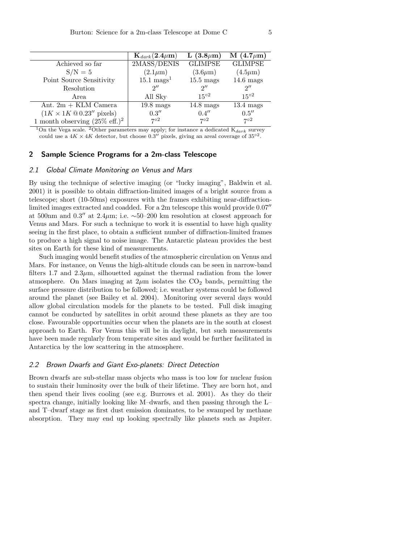|                                           | $\mathbf{K}_{dark}(\mathbf{2.4 \mu m})$ | L $(3.8 \mu m)$     | M $(4.7 \mu m)$     |
|-------------------------------------------|-----------------------------------------|---------------------|---------------------|
| Achieved so far                           | 2MASS/DENIS                             | <b>GLIMPSE</b>      | <b>GLIMPSE</b>      |
| $S/N = 5$                                 | $(2.1\mu m)$                            | $(3.6\mu m)$        | $(4.5\mu m)$        |
| Point Source Sensitivity                  | $15.1 \text{ mags}^1$                   | $15.5 \text{ mags}$ | $14.6$ mags         |
| Resolution                                | $2^{\prime\prime}$                      | $2^{\prime\prime}$  | $2^{\prime\prime}$  |
| Area                                      | All Sky                                 | $15^{o2}$           | $15^{o2}$           |
| Ant. $2m + KLM$ Camera                    | $19.8$ mags                             | $14.8 \text{ mags}$ | $13.4 \text{ mags}$ |
|                                           | 0.3''                                   | 0.4''               | 0.5''               |
| 1 month observing $(25\% \text{ eff.})^2$ | 702                                     | 702                 | 702                 |

<sup>1</sup>On the Vega scale. <sup>2</sup>Other parameters may apply; for instance a dedicated  $K_{dark}$  survey could use a  $4K \times 4K$  detector, but choose 0.3<sup>"</sup> pixels, giving an areal coverage of 35<sup>°2</sup>.

# 2 Sample Science Programs for a 2m-class Telescope

## 2.1 Global Climate Monitoring on Venus and Mars

By using the technique of selective imaging (or "lucky imaging", Baldwin et al. 2001) it is possible to obtain diffraction-limited images of a bright source from a telescope; short (10-50ms) exposures with the frames exhibiting near-diffractionlimited images extracted and coadded. For a 2m telescope this would provide 0.07′′ at 500nm and 0.3'' at  $2.4\mu$ m; i.e. ~50–200 km resolution at closest approach for Venus and Mars. For such a technique to work it is essential to have high quality seeing in the first place, to obtain a sufficient number of diffraction-limited frames to produce a high signal to noise image. The Antarctic plateau provides the best sites on Earth for these kind of measurements.

Such imaging would benefit studies of the atmospheric circulation on Venus and Mars. For instance, on Venus the high-altitude clouds can be seen in narrow-band filters 1.7 and  $2.3\mu$ m, silhouetted against the thermal radiation from the lower atmosphere. On Mars imaging at  $2\mu$ m isolates the CO<sub>2</sub> bands, permitting the surface pressure distribution to be followed; i.e. weather systems could be followed around the planet (see Bailey et al. 2004). Monitoring over several days would allow global circulation models for the planets to be tested. Full disk imaging cannot be conducted by satellites in orbit around these planets as they are too close. Favourable opportunities occur when the planets are in the south at closest approach to Earth. For Venus this will be in daylight, but such measurements have been made regularly from temperate sites and would be further facilitated in Antarctica by the low scattering in the atmosphere.

#### 2.2 Brown Dwarfs and Giant Exo-planets: Direct Detection

Brown dwarfs are sub-stellar mass objects who mass is too low for nuclear fusion to sustain their luminosity over the bulk of their lifetime. They are born hot, and then spend their lives cooling (see e.g. Burrows et al. 2001). As they do their spectra change, initially looking like M–dwarfs, and then passing through the L– and T–dwarf stage as first dust emission dominates, to be swamped by methane absorption. They may end up looking spectrally like planets such as Jupiter.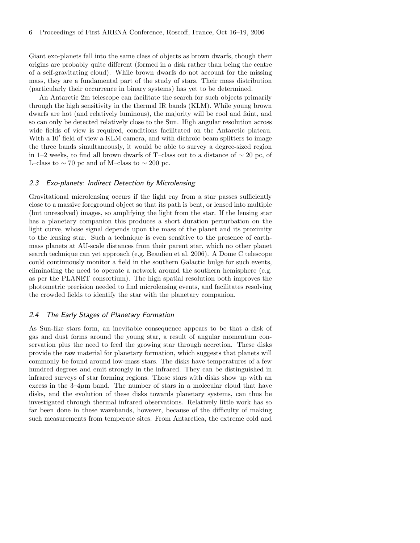Giant exo-planets fall into the same class of objects as brown dwarfs, though their origins are probably quite different (formed in a disk rather than being the centre of a self-gravitating cloud). While brown dwarfs do not account for the missing mass, they are a fundamental part of the study of stars. Their mass distribution (particularly their occurrence in binary systems) has yet to be determined.

An Antarctic 2m telescope can facilitate the search for such objects primarily through the high sensitivity in the thermal IR bands (KLM). While young brown dwarfs are hot (and relatively luminous), the majority will be cool and faint, and so can only be detected relatively close to the Sun. High angular resolution across wide fields of view is required, conditions facilitated on the Antarctic plateau. With a  $10'$  field of view a KLM camera, and with dichroic beam splitters to image the three bands simultaneously, it would be able to survey a degree-sized region in 1–2 weeks, to find all brown dwarfs of T–class out to a distance of ∼ 20 pc, of L–class to  $\sim$  70 pc and of M–class to  $\sim$  200 pc.

### 2.3 Exo-planets: Indirect Detection by Microlensing

Gravitational microlensing occurs if the light ray from a star passes sufficiently close to a massive foreground object so that its path is bent, or lensed into multiple (but unresolved) images, so amplifying the light from the star. If the lensing star has a planetary companion this produces a short duration perturbation on the light curve, whose signal depends upon the mass of the planet and its proximity to the lensing star. Such a technique is even sensitive to the presence of earthmass planets at AU-scale distances from their parent star, which no other planet search technique can yet approach (e.g. Beaulieu et al. 2006). A Dome C telescope could continuously monitor a field in the southern Galactic bulge for such events, eliminating the need to operate a network around the southern hemisphere (e.g. as per the PLANET consortium). The high spatial resolution both improves the photometric precision needed to find microlensing events, and facilitates resolving the crowded fields to identify the star with the planetary companion.

#### 2.4 The Early Stages of Planetary Formation

As Sun-like stars form, an inevitable consequence appears to be that a disk of gas and dust forms around the young star, a result of angular momentum conservation plus the need to feed the growing star through accretion. These disks provide the raw material for planetary formation, which suggests that planets will commonly be found around low-mass stars. The disks have temperatures of a few hundred degrees and emit strongly in the infrared. They can be distinguished in infrared surveys of star forming regions. Those stars with disks show up with an excess in the  $3-4\mu$ m band. The number of stars in a molecular cloud that have disks, and the evolution of these disks towards planetary systems, can thus be investigated through thermal infrared observations. Relatively little work has so far been done in these wavebands, however, because of the difficulty of making such measurements from temperate sites. From Antarctica, the extreme cold and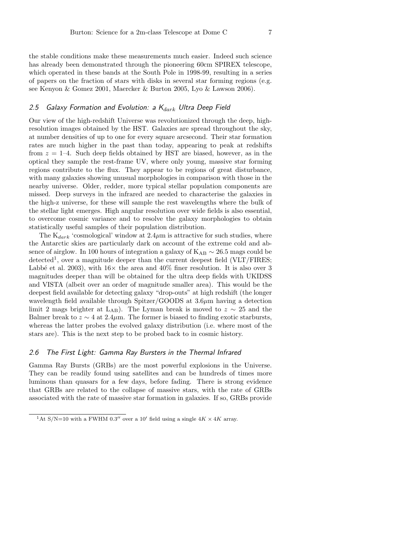the stable conditions make these measurements much easier. Indeed such science has already been demonstrated through the pioneering 60cm SPIREX telescope, which operated in these bands at the South Pole in 1998-99, resulting in a series of papers on the fraction of stars with disks in several star forming regions (e.g. see Kenyon & Gomez 2001, Maercker & Burton 2005, Lyo & Lawson 2006).

#### 2.5 Galaxy Formation and Evolution: a  $K_{dark}$  Ultra Deep Field

Our view of the high-redshift Universe was revolutionized through the deep, highresolution images obtained by the HST. Galaxies are spread throughout the sky, at number densities of up to one for every square arcsecond. Their star formation rates are much higher in the past than today, appearing to peak at redshifts from  $z = 1-4$ . Such deep fields obtained by HST are biased, however, as in the optical they sample the rest-frame UV, where only young, massive star forming regions contribute to the flux. They appear to be regions of great disturbance, with many galaxies showing unusual morphologies in comparison with those in the nearby universe. Older, redder, more typical stellar population components are missed. Deep surveys in the infrared are needed to characterise the galaxies in the high-z universe, for these will sample the rest wavelengths where the bulk of the stellar light emerges. High angular resolution over wide fields is also essential, to overcome cosmic variance and to resolve the galaxy morphologies to obtain statistically useful samples of their population distribution.

The  $K_{dark}$  'cosmological' window at  $2.4 \mu m$  is attractive for such studies, where the Antarctic skies are particularly dark on account of the extreme cold and absence of airglow. In 100 hours of integration a galaxy of  $K_{AB} \sim 26.5$  mags could be detected<sup>1</sup>, over a magnitude deeper than the current deepest field (VLT/FIRES; Labbé et al. 2003), with  $16\times$  the area and 40% finer resolution. It is also over 3 magnitudes deeper than will be obtained for the ultra deep fields with UKIDSS and VISTA (albeit over an order of magnitude smaller area). This would be the deepest field available for detecting galaxy "drop-outs" at high redshift (the longer wavelength field available through Spitzer/GOODS at  $3.6\mu$ m having a detection limit 2 mags brighter at L<sub>AB</sub>). The Lyman break is moved to  $z \sim 25$  and the Balmer break to  $z \sim 4$  at 2.4 $\mu$ m. The former is biased to finding exotic starbursts, whereas the latter probes the evolved galaxy distribution (i.e. where most of the stars are). This is the next step to be probed back to in cosmic history.

## 2.6 The First Light: Gamma Ray Bursters in the Thermal Infrared

Gamma Ray Bursts (GRBs) are the most powerful explosions in the Universe. They can be readily found using satellites and can be hundreds of times more luminous than quasars for a few days, before fading. There is strong evidence that GRBs are related to the collapse of massive stars, with the rate of GRBs associated with the rate of massive star formation in galaxies. If so, GRBs provide

<sup>&</sup>lt;sup>1</sup>At S/N=10 with a FWHM 0.3<sup>"</sup> over a 10<sup>'</sup> field using a single  $4K \times 4K$  array.